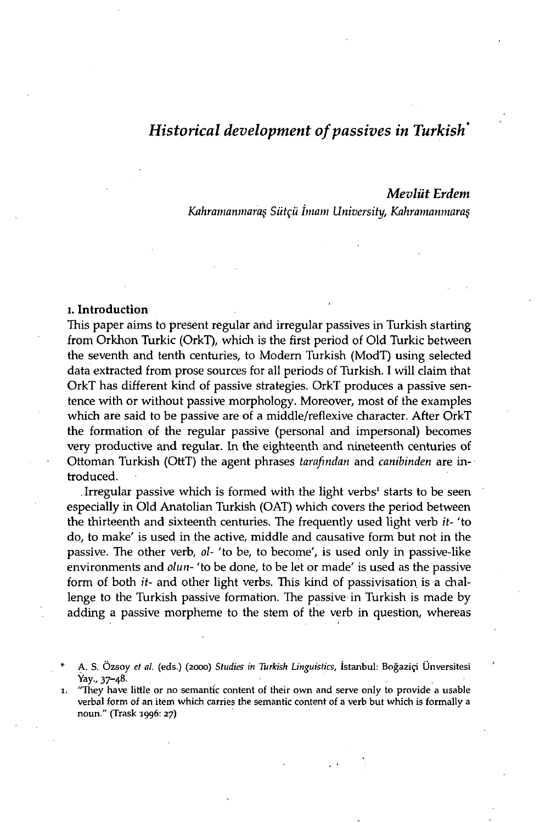# *Historical development of passives in Turkish\**

## *Mevliit Erdem*

*Kahramanmara§ Siitçii imam University, Kahramanmara§* 

## i. Introduction

This paper aims to present regular and irregular passives in Turkish starting from Orkhon Turkic (OrkT), which is the first period of Old Turkic between the seventh and tenth centuries, to Modern Turkish (ModT) using selected data extracted from prose sources for all periods of Turkish. I will claim that OrkT has different kind of passive strategies. OrkT produces a passive sentence with or without passive morphology. Moreover, most of the examples which are said to be passive are of a middle/reflexive character. After OrkT the formation of the regular passive (personal and impersonal) becomes very productive and regular. In the eighteenth and nineteenth centuries of Ottoman Turkish (OttT) the agent phrases *tarafindan* and *canibinden* are introduced.

Irregular passive which is formed with the light verbs<sup>1</sup> starts to be seen especially in Old Anatolian Turkish (OAT) which covers the period between the thirteenth and sixteenth centuries. The frequently used light verb *it-* 'to do, to make' is used in the active, middle and causative form but not in the passive. The other verb, *ol-* 'to be, to become', is used only in passive-like environments and *olun-* 'to be done, to be let or made' is used as the passive form of both *it-* and other light verbs. This kind of passivisation is a challenge to the Turkish passive formation. The passive in Turkish is made by adding a passive morpheme to the stem of the verb in question, whereas

**<sup>\*</sup> A. S. Ozsoy** *el at.* **(eds.) (2000)** *Studies in Turkish Linguistics,* **Istanbul: Bogazip Unversitesi Yay., 37-48-**

*<sup>1.</sup>* **"They have little or no semantic content of their own and serve only to provide a usable verbal form of an item which carries the semantic content of a verb but which is formally a noun." (Trask 1996: 27)**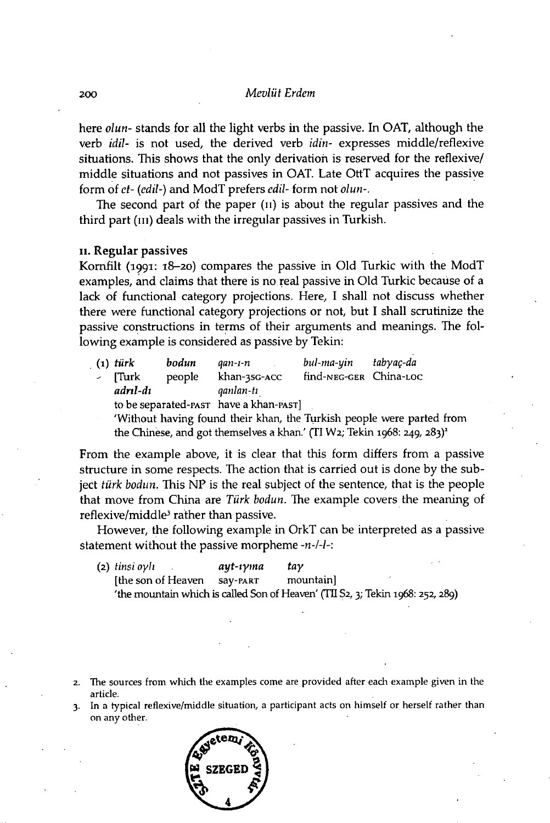## 200 *Mevlüt Érdem*

here *olun-* stands for all the light verbs in the passive. In OAT, although the verb *idil-* is not used, the derived verb *idin-* expresses middle/reflexive situations. This shows that the only derivation is reserved for the reflexive/ middle situations and not passives in OAT. Late OttT acquires the passive form of *et- (edil*-) and ModT prefers *edil-* form not *olun-.* 

The second part of the paper (n) is about the regular passives and the third part (III) deals with the irregular passives in Turkish.

#### ii. Regular passives

Kornfilt (1991: 18-20) compares the passive in Old Turkic with the ModT examples, and claims that there is no real passive in Old Turkic because of a lack of functional category projections. Here, I shall not discuss whether there were functional category projections or not, but I shall scrutinize the passive constructions in terms of their arguments and meanings. The following example is considered as passive by Tekin:

|                                       |                                                                       | $(1)$ türk                                                                          | bodun  | qan-ı-n      | bul-ma-yin             | tabyac-da |  |  |  |
|---------------------------------------|-----------------------------------------------------------------------|-------------------------------------------------------------------------------------|--------|--------------|------------------------|-----------|--|--|--|
|                                       | $\sim$ $ \sim$                                                        | <b>Turk</b>                                                                         | people | khan-35G-ACC | find-NEG-GER China-LOC |           |  |  |  |
|                                       |                                                                       | adrıl-dı                                                                            |        | ganlan-tı    |                        |           |  |  |  |
| to be separated-past have a khan-past |                                                                       |                                                                                     |        |              |                        |           |  |  |  |
|                                       | 'Without having found their khan, the Turkish people were parted from |                                                                                     |        |              |                        |           |  |  |  |
|                                       |                                                                       | the Chinese, and got themselves a khan.' (TI W2; Tekin 1968: 249, 283) <sup>2</sup> |        |              |                        |           |  |  |  |

From the example above, it is clear that this form differs from a passive structure in some respects. The action that is carried out is done by the subject *türk bodun.* This NP is the real subject of the sentence, that is the people that move from China are *Türk bodun.* The example covers the meaning of reflexive/middle<sup>3</sup> rather than passive.

However, the following example in OrkT can be interpreted as a passive statement without the passive morpheme -n-/-/-:

| (2) tinsi oylı      | ayt-ιγma | tay                                                                            |  |
|---------------------|----------|--------------------------------------------------------------------------------|--|
| I the son of Heaven | SAV-PART | mountain                                                                       |  |
|                     |          | 'the mountain which is called Son of Heaven' (TII S2, 3; Tekin 1968: 252, 289) |  |

- **2. The sources from which the examples come are provided after each example given in the article.**
- **3. In a typical reflexive/middle situation, a participant acts on himself or herself rather than on any other.**

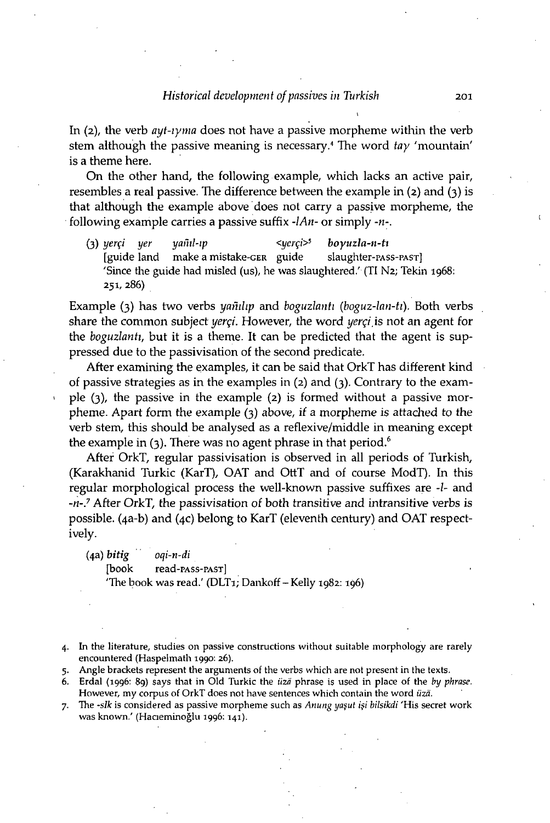In (2), the verb *ayt-iyma* does not have a passive morpheme within the verb stem although the passive meaning is necessary. 4 The word *tay* 'mountain' is a theme here.

On the other hand, the following example, which lacks an active pair, resembles a real passive. The difference between the example in (2) and (3) is that although the example above does not carry a passive morpheme, the following example carries a passive suffix *-IAn-* or simply *-n-.* 

**(3)** *y er 9 y er yainl-ip <yerqi><sup>5</sup> boyuzla-n-ti*   $[guide]$  land make a mistake-GER guide 'Since the guide had misled (us), he was slaughtered.' (TI N2; Tekin 1968: 251, 286)

Example (3) has two verbs *yamlip* and *boguzlanti (boguz-lan-ti*). Both verbs share the common subject *yerqi.* However, the word *yerqi,* is not an agent for the *boguzlanti,* but it is a theme. It can be predicted that the agent is suppressed due to the passivisation of the second predicate.

After examining the examples, it can be said that OrkT has different kind of passive strategies as in the examples in (2) and (3). Contrary to the example (3), the passive in the example (2) is formed without a passive morpheme. Apart form the example (3) above, if a morpheme is attached to the verb stem, this should be analysed as a reflexive/middle in meaning except the example in  $(3)$ . There was no agent phrase in that period.<sup>6</sup>

After OrkT, regular passivisation is observed in all periods of Turkish, (Karakhanid Turkic (KarT), OAT and OttT and of course ModT). In this regular morphological process the well-known passive suffixes are -I- and *-n-7* After OrkT, the passivisation of both transitive and intransitive verbs is possible. (4a-b) and (4c) belong to KarT (eleventh century) and OAT respectively.

(4a) *bitig oqi-n-di*  [book read-PAss-PAST] 'The book was read.' (DLT1; Dankoff  $-$  Kelly 1982: 196)

**4. In the literature, studies on passive constructions without suitable morphology are rarely encountered (Haspelmath 1990: 26).** 

- **5. Angle brackets represent the arguments of the verbs which are not present in the texts.**
- **6. Erdal (1996: 89) says that in Old Turkic the** *uza* **phrase is used in place of the** *by phrase.*  **However, my corpus of OrkT does not have sentences which contain the word** *uza.*
- **7.** The *-slk* is considered as passive morpheme such as *Anung yasut isi bilsikdi* 'His secret work **was known.' (Hacieminoglu 1996:141).**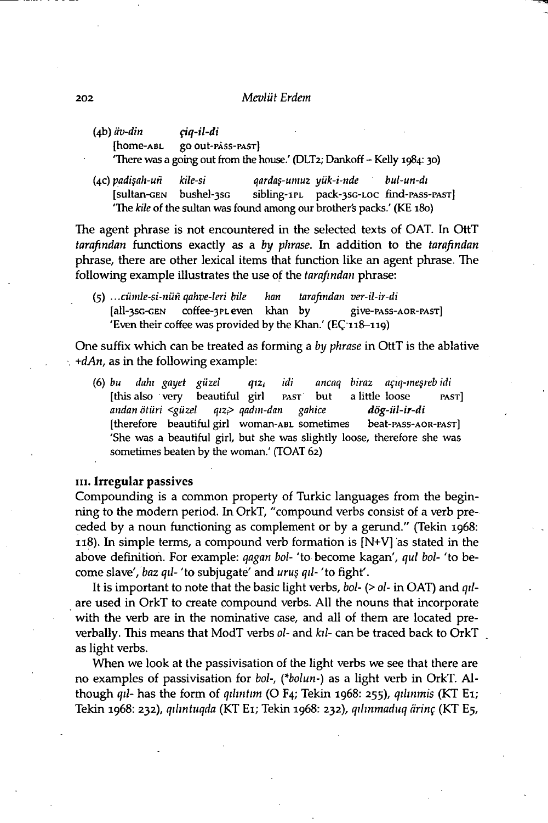#### 202 *Mevlüt Érdem*

(4b) *iiv-din* f*iq-il-di*  [home-ABL go out-PASS-PAST] 'There was a going out from the house.' (DLT2; Dankoff - Kelly 1984:30)

(4c) *padi\$ah-un kile-si qarda\$-umuz yiik-i-nde bul-un-di*  [sultan-GEN bushel-3sG sibling-1PL pack-3sG-LOC find-PASS-PAST] 'The *kite* of the sultan was found among our brother's packs.' (KE180)

The agent phrase is not encountered in the selected texts of OAT. In OttT *tarafindan* functions exactly as a *by phrase.* In addition to the *tarafindan*  phrase, there are other lexical items that function like an agent phrase. The following example illustrates the use of the *tarafindan* phrase:

(5) .. *.cumle-si-nun qahve-leri bile ban tarafindan ver-il-ir-di*  [all-3sG-GEN coffee-3PLeven khan by give-PASS-AOR-PAST] 'Even their coffee was provided by the Khan.' (EC 118-119)

One suffix which can be treated as forming a *by phrase* in OttT is the ablative *, +dAn,* as in the following example:

**(6)** *bu dahi gayet giizel qtz<sup>t</sup> idi ancaq biraz agiq-me§reb idi*  [this also very beautiful girl PAST but a little loose PAST] *andan otiiri <giizel qiz,> qadin-dan gahice dog-iil-ir-di*  [therefore beautiful girl woman-ABL sometimes beat-PASS-AOR-PAST] 'She was a beautiful girl, but she was slightly loose, therefore she was sometimes beaten by the woman.' (TOAT 62)

#### III. Irregular passives

Compounding is a common property of Turkic languages from the beginning to the modern period. In OrkT, "compound verbs consist of a verb preceded by a noun functioning as complement or by a gerund." (Tekin 1968: 118). In simple terms, a compound verb formation is [N+V] as stated in the above definition. For example: *qagan bol-* 'to become kagan', *qui bol-* 'to become slave', *baz qil-* 'to subjugate' and *uru§ qil-* 'to fight'.

It is important to note that the basic light verbs, *bol- (> ol-* in OAT) and *qil*are used in OrkT to create compound verbs. All the nouns that incorporate with the verb are in the nominative case, and all of them are located preverbally. This means that ModT verbs *ol-* and *ktl-* can be traced back to OrkT as light verbs.

When we look at the passivisation of the light verbs we see that there are no examples of passivisation for *bol-, (\*bolun*-) as a light verb in OrkT. Although *qil-* has the form of *qihntim* (O F4; Tekin 1968: 255), *qilinmis* (KT Ei; Tekin 1968: 232), *qihntuqda* (KT Ei; Tekin 1968: 232), *qihnmaduq arinq* (KT E5,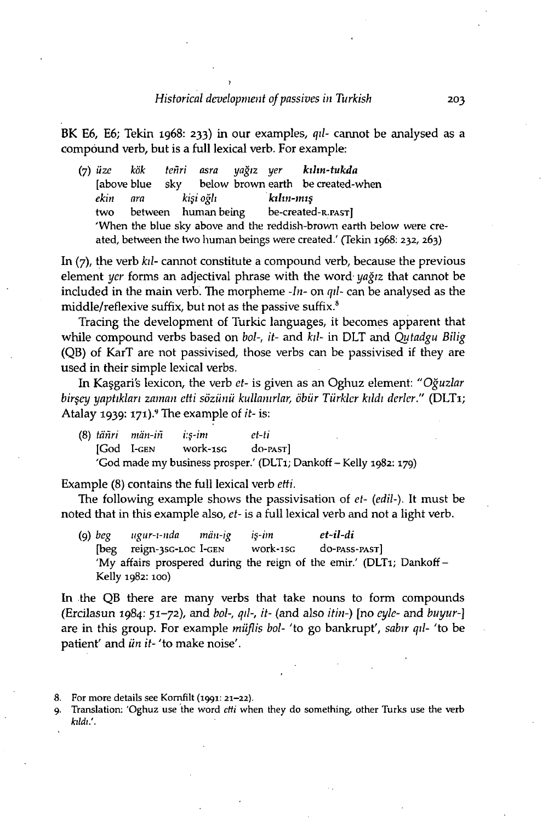)

BK E6, E6; Tekin 1968: 233) in our examples, *qil-* cannot be analysed as a compóund verb, but is a full lexical verb. For example:

(7) *üze kök tenri asra yagiz yer kihn-tukda*  [above blue sky below brown earth be created-when *ekirt ara ki§i ogli kthn-mt§*  two between human-being be-created-R.PAST] 'When the blue sky above and the reddish-brown earth below were created, between the two human beings were created.' (Tekin 1968: 232, 263)

In (7), the verb *kd-* cannot constitute a compound verb, because the previous element *yer* forms an adjectival phrase with the word- *yagiz* that cannot be included in the main verb. The morpheme *-In-* on *qd-* can be analysed as the middle/reflexive suffix, but not as the passive suffix.<sup>8</sup>

Tracing the development of Turkic languages, it becomes apparent that while compound verbs based on *bol-, it-* and *kd-* in DLT and *Qutadgu Bilig*  (QB) of KarT are not passivised, those verbs can be passivised if they are used in their simple lexical verbs.

In Kaggari's lexicon, the verb *et-* is given as an Oghuz element: *"Oguzlar bir§ey yaptiklari zaman ctti sözünü kullamrlar, öbür Türklcr kddi derler."* (DLTi; Atalay 1939: 171).<sup>9</sup> The example of *it-* is:

**(8)** *tcinri man-in i:§-im et-ti*  [God I-GEN work-1SG do-PAST] 'God made my business prosper.' (DLT1; Dankoff - Kelly 1982: 179)

Example (8) contains the full lexical verb *etti.* 

The following example shows the passivisation of *et- (edil*-). It must be noted that in this example also, *et-* is a full lexical verb and not a light verb.

**(9)** *beg ugur-i-nda man-ig i§-im et-il-di*  [beg reign-3sG-LOC I-GEN work-1SG do-PASS-PAST] 'My affairs prospered during the reign of the emir.' (DLT1; Dankoff -Kelly 1982: 100)

In the QB there are many verbs that take nouns to form compounds (Ercilasun 1984: 51-72), and *bol-, qd-, it-* (and also *itin-)* [no *cyle-* and *buyur-]*  are in this group. For example *miiflis bol-* 'to go bankrupt', *sabir qd-* 'to be patient' and *ün* it-'to make noise'.

- **8. For more details see Kornfilt (1991: 21-22).**
- **9. Translation: 'Oghuz use the word** *etti* **when they do something, other Turks use the verb**  *kildi:.*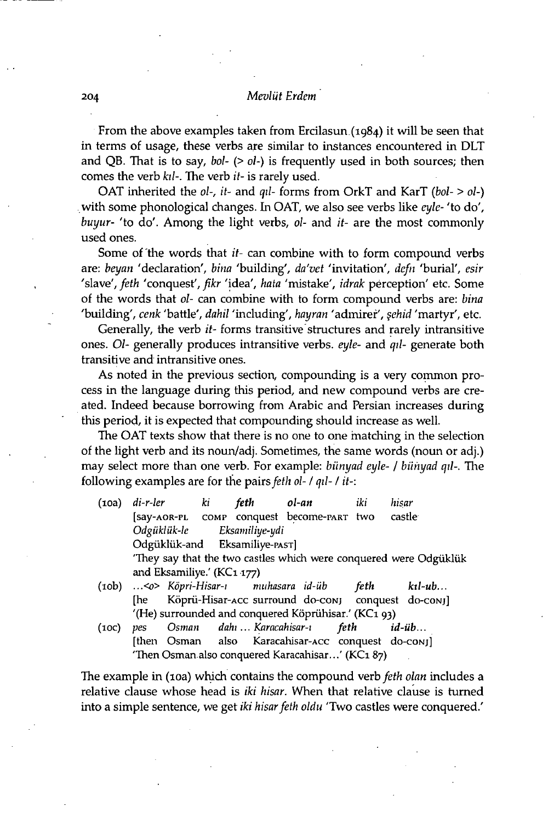### **2 0 4** *Mevlüt Érdem*

From the above examples taken from Ercilasun.(i984) it will be seen that in terms of usage, these verbs are similar to instances encountered in DLT and QB. That is to say, *bol- (> ol-)* is frequently used in both sources; then comes the verb *hi-.* The verb *it-* is rarely used.

OAT inherited the *ol-, it-* and *qd-* forms from OrkT and KarT *(bol- > ol-)*  with some phonological changes. In OAT, we also see verbs like *eyle-* 'to do', *buyur-* 'to do'. Among the light verbs, *ol-* and *it-* are the most commonly used ones.

Some of the words that *it-* can combine with to form compound verbs are: *beyan* 'declaration', *bina* 'building', *da'vet* 'invitation', *defn* 'burial', *esir*  'slave', feth 'conquest', fikr 'idea', hata 'mistake', *idrak* perception' etc. Some of the words that *ol-* can combine with to form compound verbs are: *bina*  'building', *cenk* 'battle', *dahil* 'including', *hayran* 'admirer', *§ehid* 'martyr', etc.

Generally, the verb *it-* forms transitive structures and rarely intransitive ones. *Ol-* generally produces intransitive verbs, *eyle-* and *qd-* generate both transitive and intransitive ones.

As noted in the previous section, compounding is a very common process in the language during this period, and new compound verbs are created. Indeed because borrowing from Arabic and Persian increases during this period, it is expected that compounding should increase as well.

The OAT texts show that there is no one to one matching in the selection of the light verb and its noun/adj. Sometimes, the same words (noun or adj.) may select more than one verb. For example: *biinyad eyle- / biihyad qd-.* The following examples are for the pairs *feth ol- / qil- / it-:* 

- (ioa) *di-r-ler ki feth ol-an iki hisar*  [say-AOR-PL COMP conquest become-PART two castle *Odgiikliik-le Eksamiliye-ydi*  Odgüklük-and Eksamiliye-PAST] 'They say that the two castles which were conquered were Odgukliik and Eksamiliye.' (KCi 177)
- (10b) ...<o> *Kopri-Hisar-i muhasara id-iib feth ktl-ub...*  [he Köprü-Hisar-Acc surround do-conj conquest do-conj] '(He) surrounded and conquered Köprühisar.' (KC1 93)
- (10c) *pes Osman dahi ... Karacahisar-i feth id-iib...*  [then Osman also Karacahisar-Acc conquest do-conj] 'Then Osman also conquered Karacahisar...' (KC1 87)

The example in (10a) which contains the compound verb *feth olan* includes a relative clause whose head is *iki hisar.* When that relative clause is turned into a simple sentence, we get *iki hisar feth oldu* 'Two castles were conquered.'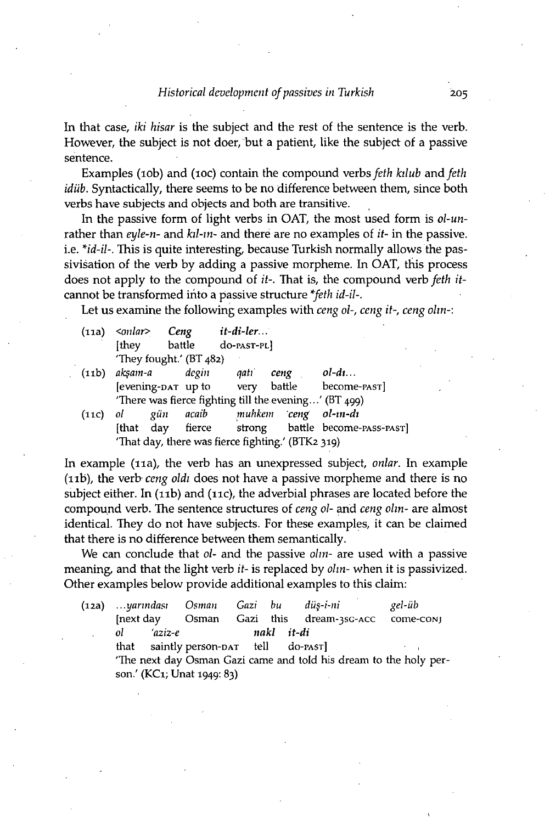In that case, *iki hisar* is the subject and the rest of the sentence is the verb. However, the subject is not doer, but a patient, like the subject of a passive sentence.

Examples (10b) and (10c) contain the compound verbs *feth kilub* and *feth idiib.* Syntactically, there seems to be no difference between them, since both verbs have subjects and objects and both are transitive.

In the passive form of light verbs in OAT, the most used form is *ol-un*rather than *eyle-n-* and *kil-m-* and there are no examples of *it-* in the passive, i.e. *\*id-il-.* This is quite interesting, because Turkish normally allows the passivisation of the verb by adding a passive morpheme. In OAT, this process does not apply to the compound of *it-.* That is, the compound verb *feth it*cannot be transformed into a passive structure *\*feth id-il-.* 

Let us examine the following examples with *ceng ol-, ceng it-, ceng olin-:* 

|                                                   | $(11a)$ <onlar><br/>[they]</onlar>                    |     | Ceng  | it-di-ler<br>battle do-past-pl |                      |                                                  |  |
|---------------------------------------------------|-------------------------------------------------------|-----|-------|--------------------------------|----------------------|--------------------------------------------------|--|
|                                                   | 'They fought.' $(BT_482)$                             |     |       |                                |                      |                                                  |  |
| (i <sub>1</sub> b)                                | aksam-a                                               |     | degin | aati                           | ceng                 | $ol-d1$                                          |  |
|                                                   |                                                       |     |       |                                |                      | [evening-par up to very battle become-past]      |  |
|                                                   | 'There was fierce fighting till the evening' (BT 499) |     |       |                                |                      |                                                  |  |
| (11C)                                             | ol                                                    | gün | acaib |                                | muhkem ceng ol-in-di |                                                  |  |
|                                                   |                                                       |     |       |                                |                      | [that day fierce strong battle become-PASS-PAST] |  |
| 'That day, there was fierce fighting.' (BTK2 319) |                                                       |     |       |                                |                      |                                                  |  |

In example (11a), the verb has an unexpressed subject, *onlar.* In example (11b), the verb *ceng oldi* does not have a passive morpheme and there is no subject either. In (11b) and (11c), the adverbial phrases are located before the compound verb. The sentence structures of *ceng ol-* and *ceng olin-* are almost identical. They do not have subjects. For these examples, it can be claimed that there is no difference between them semantically.

We can conclude that *ol-* and the passive *olm-* are used with a passive meaning, and that the light verb *it-* is replaced by *olin-* when it is passivized. Other examples below provide additional examples to this claim:

| (12a) |                                                                   |            | yarındası Osman Gazi bu               |  |            | düs-i-ni                | gel-üb    |  |
|-------|-------------------------------------------------------------------|------------|---------------------------------------|--|------------|-------------------------|-----------|--|
|       |                                                                   |            | Inext day Osman                       |  |            | Gazi this dream-35G-ACC | come-conj |  |
|       | ol                                                                | $'$ aziz-e |                                       |  | nakl it-di |                         |           |  |
|       |                                                                   |            | that saintly person-DAT tell do-PAST] |  |            |                         |           |  |
|       | 'The next day Osman Gazi came and told his dream to the holy per- |            |                                       |  |            |                         |           |  |
|       |                                                                   |            | son.' (KC1; Unat 1949: 83)            |  |            |                         |           |  |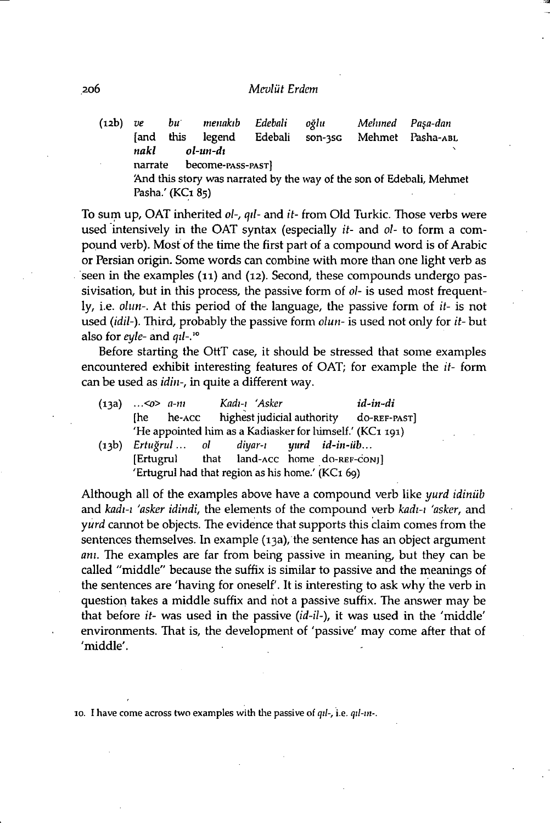#### 206 *Mcvlut Erdcm*

(12b) *ve bu menakib Edebali oglu Mehmed Pa\$a-dan*  [and this legend Edebali son-3SG Mehmet Pasha-ABL *nakl ol-un-di*  narrate become-PASS-PAST] And this story was narrated by the way of the son of Edebali, Mehmet Pasha.' (KC1 85)

To sum up, OAT inherited *ol-, qd-* and *it-* from Old Turkic. Those verbs were used intensively in the OAT syntax (especially *it-* and *ol-* to form a compound verb). Most of the time the first part of a compound word is of Arabic or Persian origin. Some words can combine with more than one light verb as seen in the examples **(11)** and **(12).** Second, these compounds undergo passivisation, but in this process, the passive form of *ol-* is used most frequently, i.e. *olun-.* At this period of the language, the passive form of *it-* is not used (idil-). Third, probably the passive form *olun*- is used not only for it-but also for *eyle-* and *qil-.'°* 

Before starting the OttT case, it should be stressed that some examples encountered exhibit interesting features of OAT; for example the *it-* form can be used as *idin-,* in quite a different way.

| (13a) | $\ldots$ < $\varphi$ > a-m |                                                  | Kadı-ı 'Asker |  | id-in-di                                                 |
|-------|----------------------------|--------------------------------------------------|---------------|--|----------------------------------------------------------|
|       |                            |                                                  |               |  | [he he-ACC highest judicial authority do-REF-PAST]       |
|       |                            |                                                  |               |  | 'He appointed him as a Kadiasker for himself.' (KC1 191) |
| (13b) |                            | Ertuğrul ol diyar-ı yurd id-in-üb                |               |  |                                                          |
|       |                            | [Ertugrul that land-ACC home do-REF-CONJ]        |               |  |                                                          |
|       |                            | 'Ertugrul had that region as his home.' (KC1 69) |               |  |                                                          |

Although all of the examples above have a compound verb like *yurd idiniib*  and *kadi-i 'asker idindi,* the elements of the compound verb *kadi-i 'asker,* and *yurd* cannot be objects. The evidence that supports this claim comes from the sentences themselves. In example (13a), the sentence has an object argument *am.* The examples are far from being passive in meaning, but they can be called "middle" because the suffix is similar to passive and the meanings of the sentences are 'having for oneself'. It is interesting to ask why the verb in question takes a middle suffix and hot a passive suffix. The answer may be that before *it-* was used in the passive (*id-il*-), it was used in the 'middle' environments. That is, the development of 'passive' may come after that of 'middle'.

**10. I have come across two examples with the passive of** *qil-,* **i.e.** *qil-in-.*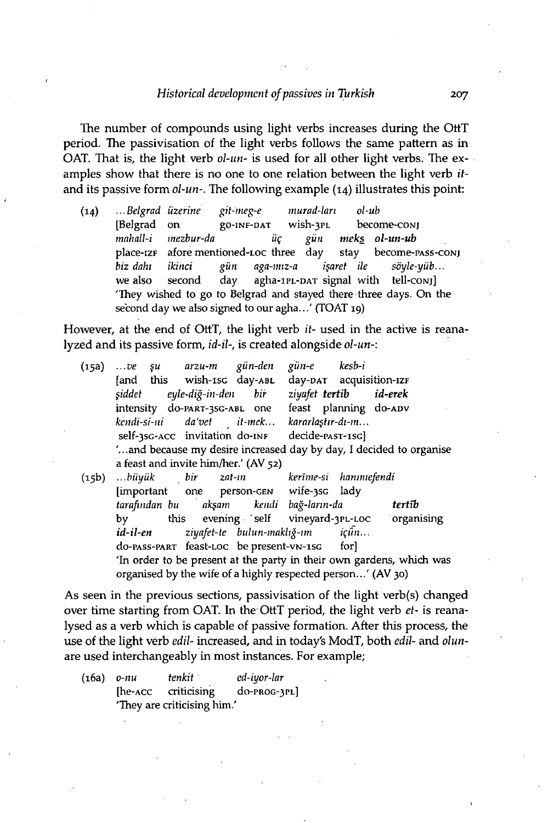#### *Historical development of passives in Turkish* 207

The number of compounds using light verbs increases during the OttT period. The passivisation of the light verbs follows the same pattern as in OAT. That is, the light verb *ol-un-* is used for all other light verbs. The examples show that there is no one to one relation between the light verb *it*and its passive form *ol-un-.* The following example (14) illustrates this point:

(14) *...Belgrad uzerine git-meg-e murad-lari ol-ub*  [Belgrad on go-iNF-DAT wish-3PL become-coNj *mahall-i mezbur-da* iff *gun meks ol-un-ub*  place-izF afore mentioned-LOC three day stay become-PASS-coNj *biz dahi ikinci gun aga-miz-a i§aret ile soyle-yitb...*  we also second day agha-1PL-DAT signal with tell-conj 'They wished to go to Belgrad and stayed there three days. On the second day we also signed to our agha...' (TOAT 19)

However, at the end of OttT, the light verb *it-* used in the active is reanalyzed and its passive form, *id-il-,* is created alongside *ol-un-:* 

| (15a) | ve şu arzu-m gün-den                                                |  |  | gün-e                           | kesb-i |                                               |  |  |
|-------|---------------------------------------------------------------------|--|--|---------------------------------|--------|-----------------------------------------------|--|--|
|       | [and this wish-1sc day-ABL                                          |  |  | day-DAT acquisition-IZF         |        |                                               |  |  |
|       | şiddet eyle-diğ-in-den bir                                          |  |  | ziyafet tertib id-erek          |        |                                               |  |  |
|       | intensity do-PART-3SG-ABL one feast planning do-ADV                 |  |  |                                 |        |                                               |  |  |
|       | kendi-si-ni da'vet it-mek kararlaştır-dı-m                          |  |  |                                 |        |                                               |  |  |
|       | self-3sG-ACC invitation do-INF decide-PAST-1SG                      |  |  |                                 |        |                                               |  |  |
|       | " and because my desire increased day by day, I decided to organise |  |  |                                 |        |                                               |  |  |
|       | a feast and invite him/her.' (AV 52)                                |  |  |                                 |        |                                               |  |  |
| (15b) | büyük bir zat-ın                                                    |  |  | kerīme-si hanimefendi           |        |                                               |  |  |
|       | [important one person-GEN wife-35G lady                             |  |  |                                 |        |                                               |  |  |
|       | tarafından bu akşam kendi bağ-ların-da                              |  |  |                                 |        | tertīb                                        |  |  |
|       | by                                                                  |  |  |                                 |        | this evening self vineyard-3PL-LOC organising |  |  |
|       | id-il-en                                                            |  |  | ziyafet-te bulun-maklığ-ım içün |        |                                               |  |  |

do-PASS-PART feast-LOC be present-VN-1SG for] 'In order to be present at the party in their own gardens, which was organised by the wife of a highly respected person...' (AV 30)

As seen in the previous sections, passivisation of the light verb(s) changed over time starting from OAT. In the OttT period, the light verb *et-* is reanalysed as a verb which is capable of passive formation. After this process, the use of the light verb *edil-* increased, and in today's ModT, both *edil-* and *olun*are used interchangeably in most instances. For example;

(16a) *o-nu tenkit ed-iyor-lar*  [he-ACC criticising do-PROG-3PL] 'They are criticising him.'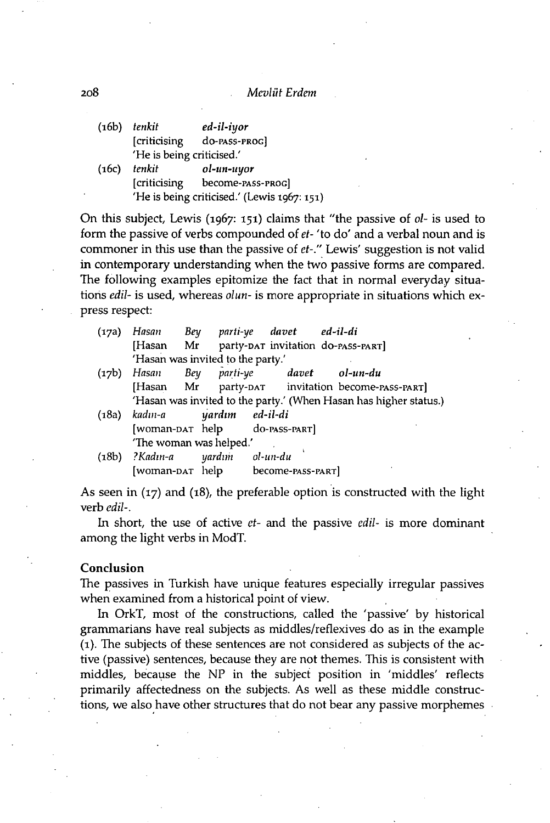#### 208 *Mcvliit Érdem*

|       | $(16b)$ tenkit            | ed-il-iyor                                  |  |  |  |
|-------|---------------------------|---------------------------------------------|--|--|--|
|       | [criticising]             | do-PASS-PROGI                               |  |  |  |
|       | 'He is being criticised.' |                                             |  |  |  |
| (16c) | tenkit                    | ol-un-uyor                                  |  |  |  |
|       | <i>criticising</i>        | become-PASS-PROGl                           |  |  |  |
|       |                           | 'He is being criticised.' (Lewis 1967: 151) |  |  |  |

On this subject, Lewis (1967: 151) claims that "the passive of *ol-* is used to form the passive of verbs compounded of *et-* 'to do' and a verbal noun and is commoner in this use than the passive of *et-."* Lewis' suggestion is not valid in contemporary understanding when the two passive forms are compared. The following examples epitomize the fact that in normal everyday situations *edil-* is used, whereas *olun-* is more appropriate in situations which express respect:

| (17a) <i>Hasan</i>                | Bey parti-ye davet ed-il-di |  |                                              |
|-----------------------------------|-----------------------------|--|----------------------------------------------|
|                                   |                             |  | [Hasan Mr party-par invitation do-pass-part] |
| 'Hasan was invited to the party.' |                             |  |                                              |

- (17b) *Hasan Bey parti-ye davet ol-un-du*  [Hasan Mr party-DAT invitation become-PASS-PART] 'Hasan was invited to the party.' (When Hasan has higher status.)
- (18a) *kadm-a yardim ed-il-di*  [woman-DAT help do-PASS-PART] 'The woman was helped.'
- (18b) *?Kadin-a yardim ol-un-du*  [woman-DAT help become-PASS-PART]

As seen in (17) and (18), the preferable option is constructed with the light verb *edil-.* 

In short, the use of active *et-* and the passive *edil-* is more dominant among the light verbs in ModT.

#### Conclusion

The passives in Turkish have unique features especially irregular passives when examined from a historical point of view.

In OrkT, most of the constructions, called the 'passive' by historical grammarians have real subjects as middles/reflexives do as in the example (1). The subjects of these sentences are not considered as subjects of the active (passive) sentences, because they are not themes. This is consistent with middles, because the NP in the subject position in 'middles' reflects primarily affectedness on the subjects. As well as these middle constructions, we also have other structures that do not bear any passive morphemes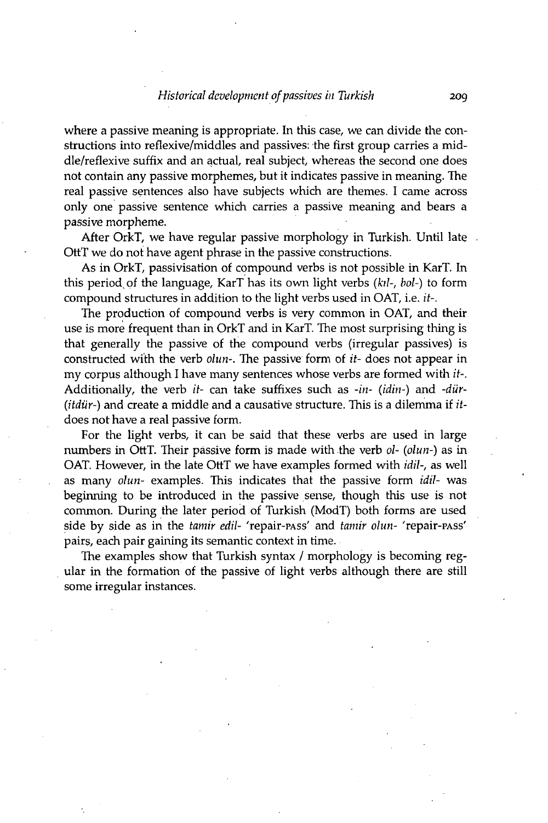where a passive meaning is appropriate. In this case, we can divide the constructions into reflexive/middles and passives: the first group carries a middle/reflexive suffix and an actual, real subject, whereas the second one does not contain any passive morphemes, but it indicates passive in meaning. The real passive sentences also have subjects which are themes. I came across only one passive sentence which carries a passive meaning and bears a passive morpheme.

After OrkT, we have regular passive morphology in Turkish. Until late OttT we do not have agent phrase in the passive constructions.

As in OrkT, passivisation of compound verbs is not possible in KarT. In this period, of the language, KarT has its own light verbs *(kil-, hoi-)* to form compound structures in addition to the light verbs used in OAT, i.e. *it-.* 

The production of compound verbs is very common in OAT, and their use is more frequent than in OrkT and in KarT. The most surprising thing is that generally the passive of the compound verbs (irregular passives) is constructed with the verb *olun-.* The passive form of *it-* does not appear in my corpus although I have many sentences whose verbs are formed with *it-.*  Additionally, the verb *it-* can take suffixes such as *-in- (idin-)* and *-dur- (itdtir-)* and create a middle and a causative structure. This is a dilemma if *itdoes* not have a real passive form.

For the light verbs, it can be said that these verbs are used in large numbers in OttT. Their passive form is made with the verb *ol- (olun-)* as in OAT. However, in the late OttT we have examples formed with *idil-,* as well as many *olun-* examples. This indicates that the passive form *idil-* was beginning to be introduced in the passive sense, though this use is not common. During the later period of Turkish (ModT) both forms are used side by side as in the *tamir edil-* 'repair-PASs' and *tamir olun-* 'repair-PASs' pairs, each pair gaining its semantic context in time.

The examples show that Turkish syntax / morphology is becoming regular in the formation of the passive of light verbs although there are still some irregular instances.